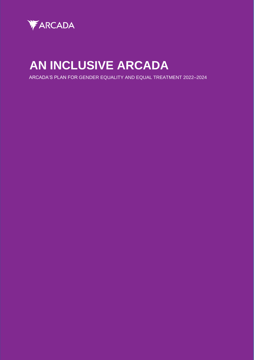

# **AN INCLUSIVE ARCADA**

ARCADA'S PLAN FOR GENDER EQUALITY AND EQUAL TREATMENT 2022–2024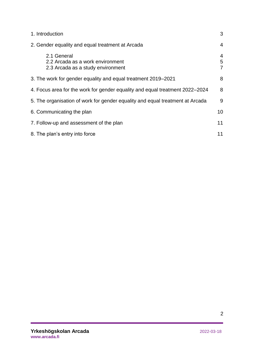| 1. Introduction                                                                      | 3                        |
|--------------------------------------------------------------------------------------|--------------------------|
| 2. Gender equality and equal treatment at Arcada                                     | $\overline{4}$           |
| 2.1 General<br>2.2 Arcada as a work environment<br>2.3 Arcada as a study environment | $\overline{4}$<br>5<br>7 |
| 3. The work for gender equality and equal treatment 2019–2021                        | 8                        |
| 4. Focus area for the work for gender equality and equal treatment 2022–2024         | 8                        |
| 5. The organisation of work for gender equality and equal treatment at Arcada        | 9                        |
| 6. Communicating the plan                                                            | 10                       |
| 7. Follow-up and assessment of the plan                                              | 11                       |
| 8. The plan's entry into force                                                       | 11                       |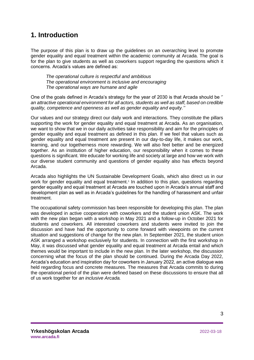## <span id="page-2-0"></span>**1. Introduction**

The purpose of this plan is to draw up the guidelines on an overarching level to promote gender equality and equal treatment within the academic community at Arcada. The goal is for the plan to give students as well as coworkers support regarding the questions which it concerns. Arcada's values are defined as:

*The operational culture is respectful and ambitious The operational environment is inclusive and encouraging The operational ways are humane and agile*

One of the goals defined in Arcada's strategy for the year of 2030 is that Arcada should be '' *an attractive operational environment for all actors, students as well as staff, based on credible quality, competence and openness as well as gender equality and equity.''* 

Our values and our strategy direct our daily work and interactions. They constitute the pillars supporting the work for gender equality and equal treatment at Arcada. As an organisation, we want to show that we in our daily activities take responsibility and aim for the principles of gender equality and equal treatment as defined in this plan. If we feel that values such as gender equality and equal treatment are present in our day-to-day life, it makes our work, learning, and our togetherness more rewarding. We will also feel better and be energized together. As an institution of higher education, our responsibility when it comes to these questions is significant. We educate for working life and society at large and how we work with our diverse student community and questions of gender equality also has effects beyond Arcada.

Arcada also highlights the UN Sustainable Development Goals, which also direct us in our work for gender equality and equal treatment.<sup>1</sup> In addition to this plan, questions regarding gender equality and equal treatment at Arcada are touched upon in Arcada's annual staff and development plan as well as in Arcada's guidelines for the handling of harassment and unfair treatment.

The occupational safety commission has been responsible for developing this plan. The plan was developed in active cooperation with coworkers and the student union ASK. The work with the new plan began with a workshop in May 2021 and a follow-up in October 2021 for students and coworkers. All interested coworkers and students were invited to join the discussion and have had the opportunity to come forward with viewpoints on the current situation and suggestions of change for the new plan. In September 2021, the student union ASK arranged a workshop exclusively for students. In connection with the first workshop in May, it was discussed what gender equality and equal treatment at Arcada entail and which themes would be important to include in the new plan. In the later workshop, the discussion concerning what the focus of the plan should be continued. During the Arcada Day 2022, Arcada's education and inspiration day for coworkers in January 2022, an active dialogue was held regarding focus and concrete measures. The measures that Arcada commits to during the operational period of the plan were defined based on these discussions to ensure that all of us work together for *an inclusive Arcada.*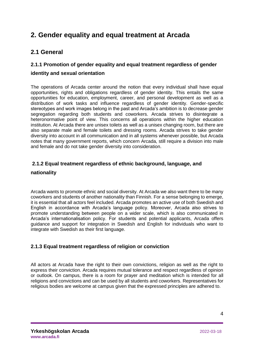## <span id="page-3-0"></span>**2. Gender equality and equal treatment at Arcada**

## <span id="page-3-1"></span>**2.1 General**

## **2.1.1 Promotion of gender equality and equal treatment regardless of gender identity and sexual orientation**

The operations of Arcada center around the notion that every individual shall have equal opportunities, rights and obligations regardless of gender identity. This entails the same opportunities for education, employment, career, and personal development as well as a distribution of work tasks and influence regardless of gender identity. Gender-specific stereotypes and work images belong in the past and Arcada's ambition is to decrease gender segregation regarding both students and coworkers. Arcada strives to disintegrate a heteronormative point of view. This concerns all operations within the higher education institution. At Arcada there are unisex toilets as well as a unisex changing room, but there are also separate male and female toilets and dressing rooms. Arcada strives to take gender diversity into account in all communication and in all systems whenever possible, but Arcada notes that many government reports, which concern Arcada, still require a division into male and female and do not take gender diversity into consideration.

## **2.1.2 Equal treatment regardless of ethnic background, language, and**

## **nationality**

Arcada wants to promote ethnic and social diversity. At Arcada we also want there to be many coworkers and students of another nationality than Finnish. For a sense belonging to emerge, it is essential that all actors feel included. Arcada promotes an active use of both Swedish and English in accordance with Arcada's language policy. Moreover, Arcada also strives to promote understanding between people on a wider scale, which is also communicated in Arcada's internationalisation policy. For students and potential applicants, Arcada offers guidance and support for integration in Swedish and English for individuals who want to integrate with Swedish as their first language.

## **2.1.3 Equal treatment regardless of religion or conviction**

All actors at Arcada have the right to their own convictions, religion as well as the right to express their conviction. Arcada requires mutual tolerance and respect regardless of opinion or outlook. On campus, there is a room for prayer and meditation which is intended for all religions and convictions and can be used by all students and coworkers. Representatives for religious bodies are welcome at campus given that the expressed principles are adhered to.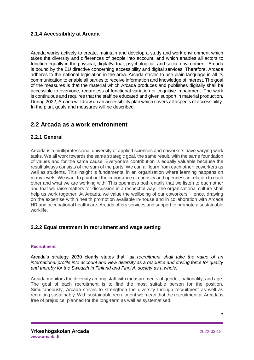## **2.1.4 Accessibility at Arcada**

Arcada works actively to create, maintain and develop a study and work environment which takes the diversity and differences of people into account, and which enables all actors to function equally in the physical, digital/virtual, psychological, and social environment. Arcada is bound by the EU directive concerning accessibility and digital services. Therefore, Arcada adheres to the national legislation in the area. Arcada strives to use plain language in all its communication to enable all parties to receive information and knowledge of interest. The goal of the measures is that the material which Arcada produces and publishes digitally shall be accessible to everyone, regardless of functional variation or cognitive impairment. The work is continuous and requires that the staff be educated and given support in material production. During 2022, Arcada will draw up an accessibility plan which covers all aspects of accessibility. In the plan, goals and measures will be described.

## <span id="page-4-0"></span>**2.2 Arcada as a work environment**

## **2.2.1 General**

Arcada is a multiprofessional university of applied sciences and coworkers have varying work tasks. We all work towards the same strategic goal, the same result, with the same foundation of values and for the same cause. Everyone's contribution is equally valuable because the result always consists of the sum of the parts. We can all learn from each other; coworkers as well as students. This insight is fundamental in an organisation where learning happens on many levels. We want to point out the importance of curiosity and openness in relation to each other and what we are working with. This openness both entails that we listen to each other and that we raise matters for discussion in a respectful way. The organisational culture shall help us work together. At Arcada, we value the wellbeing of our coworkers. Hence, drawing on the expertise within health promotion available in-house and in collaboration with Arcada HR and occupational healthcare, Arcada offers services and support to promote a sustainable worklife.

## **2.2.2 Equal treatment in recruitment and wage setting**

#### **Recruitment**

Arcada's strategy 2030 clearly states that ''*all recruitment shall take the value of an international profile into account and view diversity as a resource and driving force for quality and thereby for the Swedish in Finland and Finnish society as a whole.* 

Arcada monitors the diversity among staff with measurements of gender, nationality, and age. The goal of each recruitment is to find the most suitable person for the position. Simultaneously, Arcada strives to strengthen the diversity through recruitment as well as recruiting sustainably. With sustainable recruitment we mean that the recruitment at Arcada is free of prejudice, planned for the long-term as well as systematised.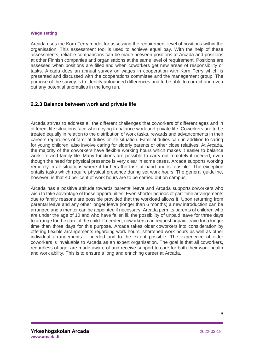#### **Wage setting**

Arcada uses the Korn Ferry model for assessing the requirement-level of positions within the organisation. This assessment tool is used to achieve equal pay. With the help of these assessments, reliable comparisons can be made between positions at Arcada and positions at other Finnish companies and organisations at the same level of requirement. Positions are assessed when positions are filled and when coworkers get new areas of responsibility or tasks. Arcada does an annual survey on wages in cooperation with Korn Ferry which is presented and discussed with the cooperations committee and the management group. The purpose of the survey is to identify unfounded differences and to be able to correct and even out any potential anomalies in the long run.

#### **2.2.3 Balance between work and private life**

Arcada strives to address all the different challenges that coworkers of different ages and in different life situations face when trying to balance work and private life. Coworkers are to be treated equally in relation to the distribution of work tasks, rewards and advancements in their careers regardless of familial duties or life situation. Familial duties can, in addition to caring for young children, also involve caring for elderly parents or other close relatives. At Arcada, the majority of the coworkers have flexible working hours which makes it easier to balance work life and family life. Many functions are possible to carry out remotely if needed, even though the need for physical presence is very clear in some cases. Arcada supports working remotely in all situations where it furthers the task at hand and is feasible. The exception entails tasks which require physical presence during set work hours. The general guideline, however, is that 40 per cent of work hours are to be carried out on campus.

Arcada has a positive attitude towards parental leave and Arcada supports coworkers who wish to take advantage of these opportunities. Even shorter periods of part-time arrangements due to family reasons are possible provided that the workload allows it. Upon returning from parental leave and any other longer leave (longer than 6 months) a new introduction can be arranged and a mentor can be appointed if necessary. Arcada permits parents of children who are under the age of 10 and who have fallen ill, the possibility of unpaid leave for three days to arrange for the care of the child. If needed, coworkers can request unpaid leave for a longer time than three days for this purpose. Arcada takes older coworkers into consideration by offering flexible arrangements regarding work hours, shortened work hours as well as other individual arrangements if needed and to the extent possible. The experience of older coworkers is invaluable to Arcada as an expert organisation. The goal is that all coworkers, regardless of age, are made aware of and receive support to care for both their work health and work ability. This is to ensure a long and enriching career at Arcada.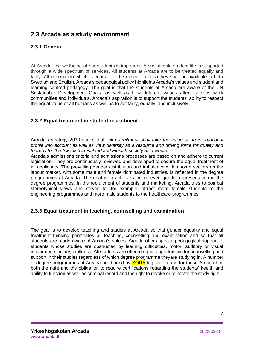## <span id="page-6-0"></span>**2.3 Arcada as a study environment**

## **2.3.1 General**

At Arcada, the wellbeing of our students is important. A sustainable student life is supported through a wide spectrum of services. All students at Arcada are to be treated equally and fairly. All information which is central for the execution of studies shall be available in both Swedish and English. Arcada's pedagogical policy highlights Arcada's values and student and learning centred pedagogy. The goal is that the students at Arcada are aware of the UN Sustainable Development Goals, as well as how different values affect society, work communities and individuals. Arcada's aspiration is to support the students' ability to respect the equal value of all humans as well as to act fairly, equally, and inclusively.

#### **2.3.2 Equal treatment in student recruitment**

Arcada's strategy 2030 states that ''*all recruitment shall take the value of an international profile into account as well as view diversity as a resource and driving force for quality and thereby for the Swedish in Finland and Finnish society as a whole.* 

Arcada's admissions criteria and admissions processes are based on and adhere to current legislation. They are continuously reviewed and developed to secure the equal treatment of all applicants. The prevailing gender distribution and imbalance within some sectors on the labour market, with some male and female dominated industries, is reflected in the degree programmes at Arcada. The goal is to achieve a more even gender representation in the degree programmes. In the recruitment of students and marketing, Arcada tries to combat stereotypical views and strives to, for example, attract more female students to the engineering programmes and more male students to the healthcare programmes.

#### **2.3.3 Equal treatment in teaching, counselling and examination**

The goal is to develop teaching and studies at Arcada so that gender equality and equal treatment thinking permeates all teaching, counselling and examination and so that all students are made aware of Arcada's values. Arcada offers special pedagogical support to students whose studies are obstructed by learning difficulties, motor, auditory or visual impairments, injury, or illness. All students are offered equal opportunities for counselling and support in their studies regardless of which degree programme theyare studying in. A number of degree programmes at Arcada are bound by **SORA** legislation and for these Arcada has both the right and the obligation to require certifications regarding the students' health and ability to function as well as criminal record and the right to revoke or reinstate the study right.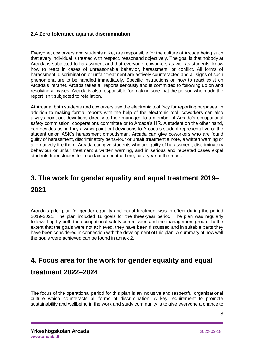#### **2.4 Zero tolerance against discrimination**

Everyone, coworkers and students alike, are responsible for the culture at Arcada being such that every individual is treated with respect, reasonand objectively. The goal is that nobody at Arcada is subjected to harassment and that everyone, coworkers as well as students, know how to react in cases of unreasonable behavior, harassment, or conflict. All forms of harassment, discrimination or unfair treatment are actively counteracted and all signs of such phenomena are to be handled immediately. Specific instructions on how to react exist on Arcada's intranet. Arcada takes all reports seriously and is committed to following up on and resolving all cases. Arcada is also responsible for making sure that the person who made the report isn't subjected to retaliation.

At Arcada, both students and coworkers use the electronic tool *Incy* for reporting purposes. In addition to making formal reports with the help of the electronic tool, coworkers can also always point out deviations directly to their manager, to a member of Arcada's occupational safety commission, cooperations committee or to Arcada's HR. A student on the other hand, can besides using Incy always point out deviations to Arcada's student representative or the student union ASK's harassment ombudsman. Arcada can give coworkers who are found guilty of harassment, discriminatory behaviour or unfair treatment a note, a written warning or alternatively fire them. Arcada can give students who are guilty of harassment, discriminatory behaviour or unfair treatment a written warning, and in serious and repeated cases expel students from studies for a certain amount of time, for a year at the most.

## <span id="page-7-0"></span>**3. The work for gender equality and equal treatment 2019– 2021**

Arcada's prior plan for gender equality and equal treatment was in effect during the period 2019-2021. The plan included 18 goals for the three-year period. The plan was regularly followed up by both the occupational safety commission and the management group. To the extent that the goals were not achieved, they have been discussed and in suitable parts they have been considered in connection with the development of this plan. A summary of how well the goals were achieved can be found in annex 2.

## <span id="page-7-1"></span>**4. Focus area for the work for gender equality and equal treatment 2022–2024**

The focus of the operational period for this plan is an inclusive and respectful organisational culture which counteracts all forms of discrimination. A key requirement to promote sustainability and wellbeing in the work and study community is to give everyone a chance to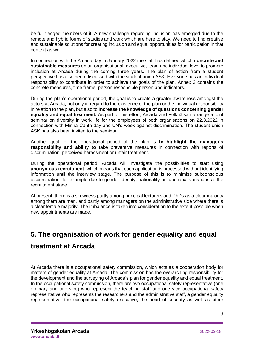be full-fledged members of it. A new challenge regarding inclusion has emerged due to the remote and hybrid forms of studies and work which are here to stay. We need to find creative and sustainable solutions for creating inclusion and equal opportunities for participation in that context as well.

In connection with the Arcada day in January 2022 the staff has defined which **concrete and sustainable measures** on an organisational, executive, team and individual level to promote inclusion at Arcada during the coming three years. The plan of action from a student perspective has also been discussed with the student union ASK. Everyone has an individual responsibility to contribute in order to achieve the goals of the plan. Annex 3 contains the concrete measures, time frame, person responsible person and indicators.

During the plan's operational period, the goal is to create a greater awareness amongst the actors at Arcada, not only in regard to the existence of the plan or the individual responsibility in relation to the plan, but also to **increase the knowledge of questions concerning gender equality and equal treatment.** As part of this effort, Arcada and Folkhälsan arrange a joint seminar on diversity in work life for the employees of both organisations on 22.3.2022 in connection with Minna Canth day and UN's week against discrimination. The student union ASK has also been invited to the seminar.

Another goal for the operational period of the plan is **to highlight the manager's responsibility and ability to** take preventive measures in connection with reports of discrimination, perceived harassment or unfair treatment.

During the operational period, Arcada will investigate the possibilities to start using **anonymous recruitment**, which means that each application is processed without identifying information until the interview stage. The purpose of this is to minimise subconscious discrimination, for example due to gender identity, nationality or functional variations at the recruitment stage.

At present, there is a skewness partly among principal lecturers and PhDs as a clear majority among them are men, and partly among managers on the administrative side where there is a clear female majority. The imbalance is taken into consideration to the extent possible when new appointments are made.

## <span id="page-8-0"></span>**5. The organisation of work for gender equality and equal treatment at Arcada**

At Arcada there is a occupational safety commission, which acts as a cooperation body for matters of gender equality at Arcada. The commission has the overarching responsibility for the development and the surveying of Arcada's plan for gender equality and equal treatment. In the occupational safety commission, there are two occupational safety representative (one ordinary and one vice) who represent the teaching staff and one vice occupational safety representative who represents the researchers and the administrative staff, a gender equality representative, the occupational safety executive, the head of security as well as other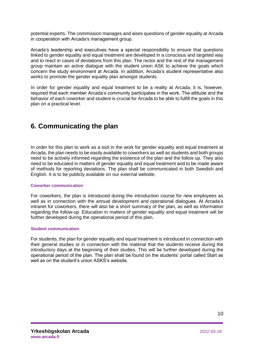potential experts. The commission manages and aises questions of gender equality at Arcada in cooperation with Arcada's management group.

Arcada's leadership and executives have a special responsibility to ensure that questions linked to gender equality and equal treatment are developed in a conscious and targeted way and to react in cases of deviations from this plan. The rector and the rest of the management group maintain an active dialogue with the student union ASK to achieve the goals which concern the study environment at Arcada. In addition, Arcada's student representative also works to promote the gender equality plan amongst students.

In order for gender equality and equal treatment to be a reality at Arcada, it is, however, required that each member Arcada's community participates in the work. The attitude and the behavior of each coworker and student is crucial for Arcada to be able to fulfill the goals in this plan on a practical level.

## <span id="page-9-0"></span>**6. Communicating the plan**

In order for this plan to work as a tool in the work for gender equality and equal treatment at Arcada, the plan needs to be easily available to coworkers as well as students and both groups need to be actively informed regarding the existence of the plan and the follow up. They also need to be educated in matters of gender equality and equal treatment and to be made aware of methods for reporting deviations. The plan shall be communicated in both Swedish and English. It is to be publicly available on our external website.

#### **Coworker communication**

For coworkers, the plan is introduced during the introduction course for new employees as well as in connection with the annual development and operational dialogues. At Arcada's intranet for coworkers, there will also be a short summary of the plan, as well as information regarding the follow-up. Education in matters of gender equality and equal treatment will be further developed during the operational period of this plan.

#### **Student communication**

For students, the plan for gender equality and equal treatment is introduced in connection with their general studies or in connection with the material that the students receive during the introductory days at the beginning of their studies. This will be further developed during the operational period of the plan. The plan shall be found on the students' portal called Start as well as on the student's union ASKS's website.